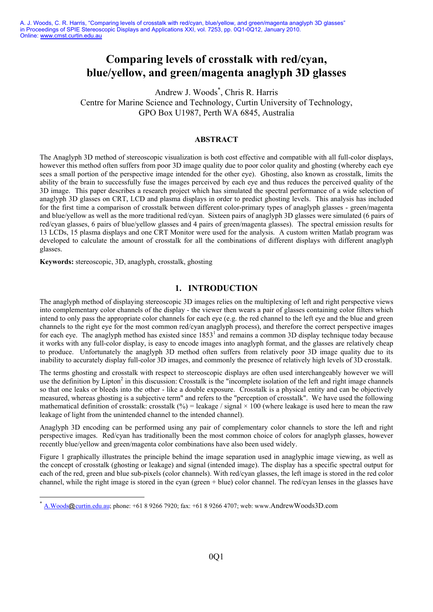A. J. Woods, C. R. Harris, "Comparing levels of crosstalk with red/cyan, blue/yellow, and green/magenta anaglyph 3D glasses" in Proceedings of SPIE Stereoscopic Displays and Applications XXI, vol. 7253, pp. 0Q1-0Q12, January 2010. Online: www.cmst.curtin.edu.au

# **Comparing levels of crosstalk with red/cyan, blue/yellow, and green/magenta anaglyph 3D glasses**

Andrew J. Woods\* , Chris R. Harris Centre for Marine Science and Technology, Curtin University of Technology, GPO Box U1987, Perth WA 6845, Australia

## **ABSTRACT**

The Anaglyph 3D method of stereoscopic visualization is both cost effective and compatible with all full-color displays, however this method often suffers from poor 3D image quality due to poor color quality and ghosting (whereby each eye sees a small portion of the perspective image intended for the other eye). Ghosting, also known as crosstalk, limits the ability of the brain to successfully fuse the images perceived by each eye and thus reduces the perceived quality of the 3D image. This paper describes a research project which has simulated the spectral performance of a wide selection of anaglyph 3D glasses on CRT, LCD and plasma displays in order to predict ghosting levels. This analysis has included for the first time a comparison of crosstalk between different color-primary types of anaglyph glasses - green/magenta and blue/yellow as well as the more traditional red/cyan. Sixteen pairs of anaglyph 3D glasses were simulated (6 pairs of red/cyan glasses, 6 pairs of blue/yellow glasses and 4 pairs of green/magenta glasses). The spectral emission results for 13 LCDs, 15 plasma displays and one CRT Monitor were used for the analysis. A custom written Matlab program was developed to calculate the amount of crosstalk for all the combinations of different displays with different anaglyph glasses.

**Keywords:** stereoscopic, 3D, anaglyph, crosstalk, ghosting

1

### **1. INTRODUCTION**

The anaglyph method of displaying stereoscopic 3D images relies on the multiplexing of left and right perspective views into complementary color channels of the display - the viewer then wears a pair of glasses containing color filters which intend to only pass the appropriate color channels for each eye (e.g. the red channel to the left eye and the blue and green channels to the right eye for the most common red/cyan anaglyph process), and therefore the correct perspective images for each eye. The anaglyph method has existed since 1853<sup>1</sup> and remains a common 3D display technique today because it works with any full-color display, is easy to encode images into anaglyph format, and the glasses are relatively cheap to produce. Unfortunately the anaglyph 3D method often suffers from relatively poor 3D image quality due to its inability to accurately display full-color 3D images, and commonly the presence of relatively high levels of 3D crosstalk.

The terms ghosting and crosstalk with respect to stereoscopic displays are often used interchangeably however we will use the definition by Lipton<sup>2</sup> in this discussion: Crosstalk is the "incomplete isolation of the left and right image channels so that one leaks or bleeds into the other - like a double exposure. Crosstalk is a physical entity and can be objectively measured, whereas ghosting is a subjective term" and refers to the "perception of crosstalk". We have used the following mathematical definition of crosstalk: crosstalk (%) = leakage / signal  $\times$  100 (where leakage is used here to mean the raw leakage of light from the unintended channel to the intended channel).

Anaglyph 3D encoding can be performed using any pair of complementary color channels to store the left and right perspective images. Red/cyan has traditionally been the most common choice of colors for anaglyph glasses, however recently blue/yellow and green/magenta color combinations have also been used widely.

Figure 1 graphically illustrates the principle behind the image separation used in anaglyphic image viewing, as well as the concept of crosstalk (ghosting or leakage) and signal (intended image). The display has a specific spectral output for each of the red, green and blue sub-pixels (color channels). With red/cyan glasses, the left image is stored in the red color channel, while the right image is stored in the cyan (green + blue) color channel. The red/cyan lenses in the glasses have

A.Woods @ curtin.edu.au; phone: +61 8 9266 7920; fax: +61 8 9266 4707; web: www.AndrewWoods3D.com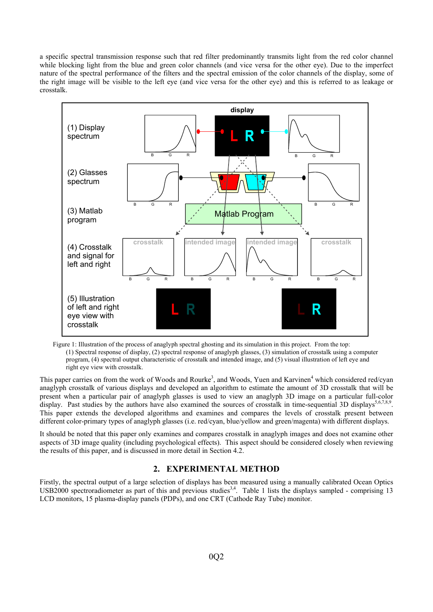a specific spectral transmission response such that red filter predominantly transmits light from the red color channel while blocking light from the blue and green color channels (and vice versa for the other eye). Due to the imperfect nature of the spectral performance of the filters and the spectral emission of the color channels of the display, some of the right image will be visible to the left eye (and vice versa for the other eye) and this is referred to as leakage or crosstalk.



Figure 1: Illustration of the process of anaglyph spectral ghosting and its simulation in this project. From the top: (1) Spectral response of display, (2) spectral response of anaglyph glasses, (3) simulation of crosstalk using a computer program, (4) spectral output characteristic of crosstalk and intended image, and (5) visual illustration of left eye and right eye view with crosstalk.

This paper carries on from the work of Woods and Rourke<sup>3</sup>, and Woods, Yuen and Karvinen<sup>4</sup> which considered red/cyan anaglyph crosstalk of various displays and developed an algorithm to estimate the amount of 3D crosstalk that will be present when a particular pair of anaglyph glasses is used to view an anaglyph 3D image on a particular full-color display. Past studies by the authors have also examined the sources of crosstalk in time-sequential 3D displays<sup>5,6,7,8,9</sup>. This paper extends the developed algorithms and examines and compares the levels of crosstalk present between different color-primary types of anaglyph glasses (i.e. red/cyan, blue/yellow and green/magenta) with different displays.

It should be noted that this paper only examines and compares crosstalk in anaglyph images and does not examine other aspects of 3D image quality (including psychological effects). This aspect should be considered closely when reviewing the results of this paper, and is discussed in more detail in Section 4.2.

## **2. EXPERIMENTAL METHOD**

Firstly, the spectral output of a large selection of displays has been measured using a manually calibrated Ocean Optics USB2000 spectroradiometer as part of this and previous studies<sup>3,4</sup>. Table 1 lists the displays sampled - comprising 13 LCD monitors, 15 plasma-display panels (PDPs), and one CRT (Cathode Ray Tube) monitor.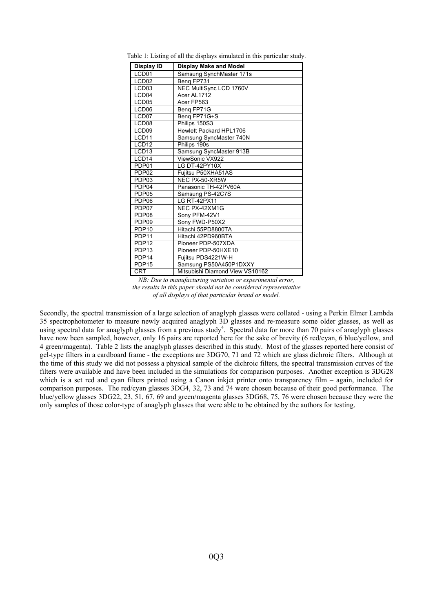| Display ID        | <b>Display Make and Model</b>   |
|-------------------|---------------------------------|
| LCD01             | Samsung SynchMaster 171s        |
| LCD <sub>02</sub> | Beng FP731                      |
| LCD <sub>03</sub> | <b>NEC MultiSync LCD 1760V</b>  |
| LCD <sub>04</sub> | Acer AL1712                     |
| LCD05             | Acer FP563                      |
| LCD <sub>06</sub> | Beng FP71G                      |
| LCD <sub>07</sub> | Beng FP71G+S                    |
| LCD <sub>08</sub> | Philips 150S3                   |
| LCD <sub>09</sub> | Hewlett Packard HPL1706         |
| LCD11             | Samsung SyncMaster 740N         |
| LCD <sub>12</sub> | Philips 190s                    |
| LCD <sub>13</sub> | Samsung SyncMaster 913B         |
| LCD <sub>14</sub> | ViewSonic VX922                 |
| PDP01             | LG DT-42PY10X                   |
| PDP <sub>02</sub> | Fujitsu P50XHA51AS              |
| PDP03             | NEC PX-50-XR5W                  |
| PDP04             | Panasonic TH-42PV60A            |
| PDP05             | Samsung PS-42C7S                |
| PDP06             | <b>LG RT-42PX11</b>             |
| PDP07             | NEC PX-42XM1G                   |
| PDP08             | Sony PFM-42V1                   |
| PDP09             | Sony FWD-P50X2                  |
| PDP <sub>10</sub> | Hitachi 55PD8800TA              |
| PDP <sub>11</sub> | Hitachi 42PD960BTA              |
| PDP <sub>12</sub> | Pioneer PDP-507XDA              |
| PDP <sub>13</sub> | Pioneer PDP-50HXE10             |
| PDP <sub>14</sub> | Fujitsu PDS4221W-H              |
| PDP <sub>15</sub> | Samsung PS50A450P1DXXY          |
| <b>CRT</b>        | Mitsubishi Diamond View VS10162 |

Table 1: Listing of all the displays simulated in this particular study.

*NB: Due to manufacturing variation or experimental error, the results in this paper should not be considered representative of all displays of that particular brand or model.* 

Secondly, the spectral transmission of a large selection of anaglyph glasses were collated - using a Perkin Elmer Lambda 35 spectrophotometer to measure newly acquired anaglyph 3D glasses and re-measure some older glasses, as well as using spectral data for anaglyph glasses from a previous study<sup>4</sup>. Spectral data for more than 70 pairs of anaglyph glasses have now been sampled, however, only 16 pairs are reported here for the sake of brevity (6 red/cyan, 6 blue/yellow, and 4 green/magenta). Table 2 lists the anaglyph glasses described in this study. Most of the glasses reported here consist of gel-type filters in a cardboard frame - the exceptions are 3DG70, 71 and 72 which are glass dichroic filters. Although at the time of this study we did not possess a physical sample of the dichroic filters, the spectral transmission curves of the filters were available and have been included in the simulations for comparison purposes. Another exception is 3DG28 which is a set red and cyan filters printed using a Canon inkjet printer onto transparency film – again, included for comparison purposes. The red/cyan glasses 3DG4, 32, 73 and 74 were chosen because of their good performance. The blue/yellow glasses 3DG22, 23, 51, 67, 69 and green/magenta glasses 3DG68, 75, 76 were chosen because they were the only samples of those color-type of anaglyph glasses that were able to be obtained by the authors for testing.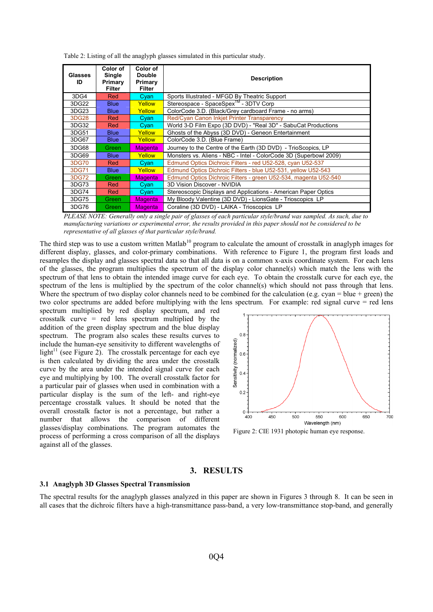Table 2: Listing of all the anaglyph glasses simulated in this particular study.

| <b>Glasses</b><br>ID | Color of<br><b>Single</b><br>Primary<br>Filter | Color of<br><b>Double</b><br>Primary<br><b>Filter</b> | <b>Description</b>                                                |
|----------------------|------------------------------------------------|-------------------------------------------------------|-------------------------------------------------------------------|
| 3DG4                 | Red                                            | Cvan                                                  | Sports Illustrated - MFGD By Theatric Support                     |
| 3DG22                | <b>Blue</b>                                    | Yellow                                                | Stereospace - SpaceSpex <sup>™</sup> - 3DTV Corp                  |
| 3DG23                | <b>Blue</b>                                    | Yellow                                                | ColorCode 3.D. (Black/Grey cardboard Frame - no arms)             |
| 3DG28                | Red                                            | Cyan                                                  | Red/Cyan Canon Inkjet Printer Transparency                        |
| 3DG32                | Red                                            | Cvan                                                  | World 3-D Film Expo (3D DVD) - "Real 3D" - SabuCat Productions    |
| 3DG51                | <b>Blue</b>                                    | Yellow                                                | Ghosts of the Abyss (3D DVD) - Geneon Entertainment               |
| 3DG67                | <b>Blue</b>                                    | Yellow                                                | ColorCode 3.D. (Blue Frame)                                       |
| 3DG68                | Green                                          | <b>Magenta</b>                                        | Journey to the Centre of the Earth (3D DVD) - TrioScopics, LP     |
| 3DG69                | <b>Blue</b>                                    | Yellow                                                | Monsters vs. Aliens - NBC - Intel - ColorCode 3D (Superbowl 2009) |
| 3DG70                | Red                                            | Cyan                                                  | Edmund Optics Dichroic Filters - red U52-528, cyan U52-537        |
| 3DG71                | <b>Blue</b>                                    | Yellow                                                | Edmund Optics Dichroic Filters - blue U52-531, yellow U52-543     |
| 3DG72                | Green                                          | <b>Magenta</b>                                        | Edmund Optics Dichroic Filters - green U52-534, magenta U52-540   |
| 3DG73                | Red                                            | Cyan                                                  | 3D Vision Discover - NVIDIA                                       |
| 3DG74                | Red                                            | Cyan                                                  | Stereoscopic Displays and Applications - American Paper Optics    |
| 3DG75                | Green                                          | <b>Magenta</b>                                        | My Bloody Valentine (3D DVD) - LionsGate - Trioscopics LP         |
| 3DG76                | <b>Green</b>                                   | <b>Magenta</b>                                        | Coraline (3D DVD) - LAIKA - Trioscopics LP                        |

*PLEASE NOTE: Generally only a single pair of glasses of each particular style/brand was sampled. As such, due to manufacturing variations or experimental error, the results provided in this paper should not be considered to be representative of all glasses of that particular style/brand.* 

The third step was to use a custom written Matlab<sup>10</sup> program to calculate the amount of crosstalk in anaglyph images for different display, glasses, and color-primary combinations. With reference to Figure 1, the program first loads and resamples the display and glasses spectral data so that all data is on a common x-axis coordinate system. For each lens of the glasses, the program multiplies the spectrum of the display color channel(s) which match the lens with the spectrum of that lens to obtain the intended image curve for each eye. To obtain the crosstalk curve for each eye, the spectrum of the lens is multiplied by the spectrum of the color channel(s) which should not pass through that lens. Where the spectrum of two display color channels need to be combined for the calculation (e.g. cyan = blue + green) the two color spectrums are added before multiplying with the lens spectrum. For example: red signal curve = red lens

spectrum multiplied by red display spectrum, and red crosstalk curve = red lens spectrum multiplied by the addition of the green display spectrum and the blue display spectrum. The program also scales these results curves to include the human-eye sensitivity to different wavelengths of light<sup>11</sup> (see Figure 2). The crosstalk percentage for each eye is then calculated by dividing the area under the crosstalk curve by the area under the intended signal curve for each eye and multiplying by 100. The overall crosstalk factor for a particular pair of glasses when used in combination with a particular display is the sum of the left- and right-eye percentage crosstalk values. It should be noted that the overall crosstalk factor is not a percentage, but rather a number that allows the comparison of different glasses/display combinations. The program automates the process of performing a cross comparison of all the displays against all of the glasses.



Figure 2: CIE 1931 photopic human eye response.

## **3. RESULTS**

#### **3.1 Anaglyph 3D Glasses Spectral Transmission**

The spectral results for the anaglyph glasses analyzed in this paper are shown in Figures 3 through 8. It can be seen in all cases that the dichroic filters have a high-transmittance pass-band, a very low-transmittance stop-band, and generally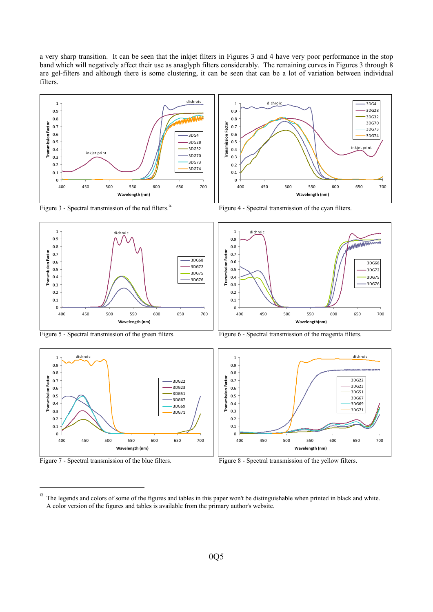a very sharp transition. It can be seen that the inkjet filters in Figures 3 and 4 have very poor performance in the stop band which will negatively affect their use as anaglyph filters considerably. The remaining curves in Figures 3 through 8 are gel-filters and although there is some clustering, it can be seen that can be a lot of variation between individual filters.



Figure 3 - Spectral transmission of the red filters. Figure 4 - Spectral transmission of the cyan filters.





1







Figure 7 - Spectral transmission of the blue filters.

 $\parallel$ 

 $\alpha$  The legends and colors of some of the figures and tables in this paper won't be distinguishable when printed in black and white. A color version of the figures and tables is available from the primary author's website.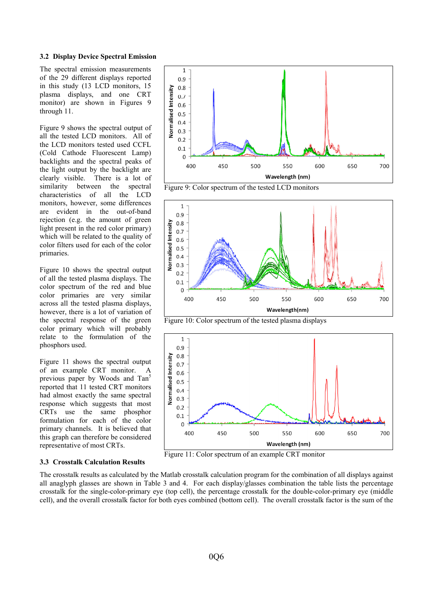#### **3.2 Display Device Spectral Emission**

The spectral emission measurements of the 29 different displays reported in this study (13 LCD monitors, 15 plasma displays, and one CRT monitor) are shown in Figures 9 through 11.

Figure 9 shows the spectral output of all the tested LCD monitors. All of the LCD monitors tested used CCFL (Cold Cathode Fluorescent Lamp) backlights and the spectral peaks of the light output by the backlight are clearly visible. There is a lot of similarity between the spectral characteristics of all the LCD monitors, however, some differences are evident in the out-of-band rejection (e.g. the amount of green light present in the red color primary) which will be related to the quality of color filters used for each of the color primaries.

Figure 10 shows the spectral output of all the tested plasma displays. The color spectrum of the red and blue color primaries are very similar across all the tested plasma displays, however, there is a lot of variation of the spectral response of the green color primary which will probably relate to the formulation of the phosphors used.

Figure 11 shows the spectral output of an example CRT monitor. A previous paper by Woods and Tan<sup>5</sup> reported that 11 tested CRT monitors had almost exactly the same spectral response which suggests that most CRTs use the same phosphor formulation for each of the color primary channels. It is believed that this graph can therefore be considered representative of most CRTs.

**3.3 Crosstalk Calculation Results** 







Figure 10: Color spectrum of the tested plasma displays



Figure 11: Color spectrum of an example CRT monitor

The crosstalk results as calculated by the Matlab crosstalk calculation program for the combination of all displays against all anaglyph glasses are shown in Table 3 and 4. For each display/glasses combination the table lists the percentage crosstalk for the single-color-primary eye (top cell), the percentage crosstalk for the double-color-primary eye (middle cell), and the overall crosstalk factor for both eyes combined (bottom cell). The overall crosstalk factor is the sum of the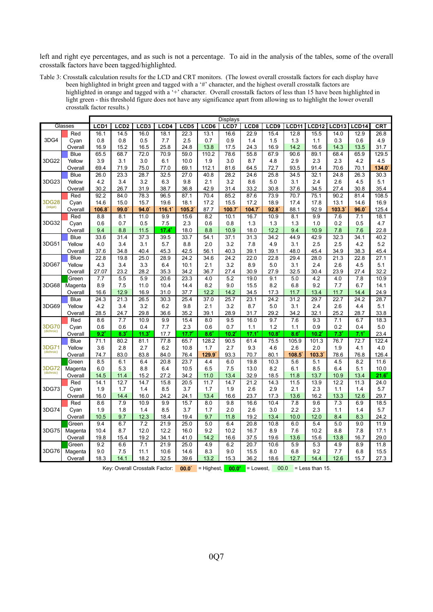left and right eye percentages, and as such is not a percentage. To aid in the analysis of the tables, some of the overall crosstalk factors have been tagged/highlighted.

| Table 3: Crosstalk calculation results for the LCD and CRT monitors. (The lowest overall crosstalk factors for each display have<br>been highlighted in bright green and tagged with a '#' character, and the highest overall crosstalk factors are<br>highlighted in orange and tagged with a '+' character. Overall crosstalk factors of less than 15 have been highlighted in<br>light green - this threshold figure does not have any significance apart from allowing us to highlight the lower overall |  |
|--------------------------------------------------------------------------------------------------------------------------------------------------------------------------------------------------------------------------------------------------------------------------------------------------------------------------------------------------------------------------------------------------------------------------------------------------------------------------------------------------------------|--|
| crosstalk factor results.)                                                                                                                                                                                                                                                                                                                                                                                                                                                                                   |  |
|                                                                                                                                                                                                                                                                                                                                                                                                                                                                                                              |  |

|                     | <b>Displays</b> |                  |                  |                  |          |       |               |             |                   |                |                   |                   |               |                  |             |
|---------------------|-----------------|------------------|------------------|------------------|----------|-------|---------------|-------------|-------------------|----------------|-------------------|-------------------|---------------|------------------|-------------|
|                     | Glasses         | LCD <sub>1</sub> | LCD <sub>2</sub> | LCD <sub>3</sub> | LCD4     | LCD5  | LCD6          | <b>LCD7</b> | LCD <sub>8</sub>  | LCD9           | <b>LCD11</b>      | LCD <sub>12</sub> | LCD13         | CD <sub>14</sub> | CRT         |
|                     | Red             | 16.1             | 14.5             | 16.0             | 18.1     | 22.3  | 13.1          | 16.6        | 22.9              | 15.4           | 12.8              | 15.5              | 14.0          | 12.9             | 26.8        |
| 3DG4                | Cyan            | 0.8              | 0.8              | 0.5              | 7.7      | 2.5   | 0.7           | 0.9         | 1.4               | 1.5            | 1.3               | 1.1               | 0.3           | 0.6              | 4.9         |
|                     | Overall         | 16.9             | 15.2             | 16.5             | 25.8     | 24.8  | 13.8          | 17.5        | 24.3              | 16.9           | 14.2              | 16.6              | 14.3          | 13.5             | 31.7        |
|                     | <b>Blue</b>     | 65.5             | 68.7             | 72.0             | 70.9     | 59.0  | 110.2         | 78.6        | 55.8              | 67.9           | 90.6              | 89.1              | 68.4          | 65.9             | 129.5       |
| 3DG22               | Yellow          | 3.9              | 3.1              | 3.0              | 6.1      | 10.0  | 1.9           | 3.0         | 8.7               | 4.8            | 2.9               | 2.3               | 2.3           | 4.2              | 4.5         |
|                     | Overall         | 69.4             | 71.9             | 75.0             | 77.0     | 69.1  | 112.1         | 81.6        | 64.5              | 72.7           | 93.5              | 91.4              | 70.6          | 70.1             | 134.0       |
|                     | Blue            | 26.0             | 23.3             | 28.7             | 32.5     | 27.0  | 40.8          | 28.2        | $\overline{2}4.6$ | 25.8           | $\overline{3}4.5$ | 32.1              | 24.8          | 26.3             | 30.3        |
| 3DG23               | Yellow          | 4.2              | 3.4              | 3.2              | 6.3      | 9.8   | 2.1           | 3.2         | 8.6               | 5.0            | 3.1               | 2.4               | 2.6           | 4.5              | 5.1         |
|                     | Overall         | 30.2             | 26.7             | 31.9             | 38.7     | 36.8  | 42.9          | 31.4        | 33.2              | 30.8           | 37.6              | 34.5              | 27.4          | 30.8             | 35.4        |
|                     | Red             | 92.2             | 84.0             | 78.3             | 96.5     | 87.1  | 70.4          | 85.2        | 87.6              | 73.9           | 70.7              | 75.1              | 90.2          | 81.4             | 108.5       |
| 3DG28               | Cyan            | 14.6             | 15.0             | 15.7             | 19.6     | 18.1  | 17.2          | 15.5        | 17.2              | 18.9           | 17.4              | 17.8              | 13.1          | 14.6             | 16.9        |
| (inkjet)            | Overall         | 106.8            | 99.0             | 94.0             | 116.1    | 105.2 | 87.7          | 100.7       | 104.7             | 92.8           | 88.1              | 92.9              | 103.3         | 96.0             | 125.4       |
|                     | Red             | 8.8              | 8.1              | 11.0             | 9.9      | 15.6  | 8.2           | 10.1        | 16.7              | 10.9           | 8.1               | 9.9               | 7.6           | 7.1              | 18.1        |
| 3DG32               | Cyan            | 0.6              | 0.7              | 0.5              | 7.5      | 2.3   | 0.6           | 0.8         | 1.3               | 1.3            | 1.3               | 1.0               | 0.2           | 0.5              | 4.7         |
|                     | Overall         | 9.4              | 8.8              | 11.5             | $17.4^*$ | 18.0  | 8.8           | 10.9        | 18.0              | 12.2           | 9.4               | 10.9              | 7.8           | 7.6              | 22.8        |
|                     | <b>Blue</b>     | 33.6             | 31.4             | 37.3             | 39.5     | 33.7  | 54.1          | 37.1        | 31.3              | 34.2           | 44.9              | 42.9              | 32.3          | 34.1             | 40.2        |
| 3DG51               | Yellow          | 4.0              | 3.4              | 3.1              | 5.7      | 8.8   | 2.0           | 3.2         | 7.8               | 4.9            | 3.1               | 2.5               | 2.5           | 4.2              | 5.2         |
|                     | Overall         | 37.6             | 34.8             | 40.4             | 45.3     | 42.5  | 56.1          | 40.3        | 39.1              | 39.1           | 48.0              | 45.4              | 34.9          | 38.3             | 45.4        |
|                     | <b>Blue</b>     | 22.8             | 19.8             | 25.0             | 28.9     | 24.2  | 34.6          | 24.2        | 22.0              | 22.8           | 29.4              | 28.0              | 21.3          | 22.8             | 27.1        |
| 3DG67               | Yellow          | 4.3              | 3.4              | 3.3              | 6.4      | 10.1  | 2.1           | 3.2         | 8.9               | 5.0            | 3.1               | 2.4               | 2.6           | 4.5              | 5.1         |
|                     | Overall         | 27.07            | 23.2             | 28.2             | 35.3     | 34.2  | 36.7          | 27.4        | 30.9              | 27.9           | 32.5              | 30.4              | 23.9          | 27.4             | 32.2        |
|                     | Green           | 7.7              | 5.5              | 5.9              | 20.6     | 23.3  | 4.0           | 5.2         | 19.0              | 9.1            | 5.0               | 4.2               | 4.0           | 7.8              | 10.9        |
| 3DG68               | Magenta         | 8.9              | 7.5              | 11.0             | 10.4     | 14.4  | 8.2           | 9.0         | 15.5              | 8.2            | 6.8               | 9.2               | 7.7           | 6.7              | 14.1        |
|                     | Overall         | 16.6             | 12.9             | 16.9             | 31.0     | 37.7  | 12.2          | 14.2        | 34.5              | 17.3           | 11.7              | 13.4              | 11.7          | 14.4             | 24.9        |
|                     | <b>Blue</b>     | 24.3             | 21.3             | 26.5             | 30.3     | 25.4  | 37.0          | 25.7        | 23.1              | 24.2           | 31.2              | 29.7              | 22.7          | 24.2             | 28.7        |
| 3DG69               | Yellow          | 4.2              | 3.4              | 3.2              | 6.2      | 9.8   | 2.1           | 3.2         | 8.7               | 5.0            | 3.1               | 2.4               | 2.6           | 4.4              | 5.1         |
|                     | Overall         | 28.5             | 24.7             | 29.8             | 36.6     | 35.2  | 39.1          | 28.9        | 31.7              | 29.2           | 34.2              | 32.1              | 25.2          | 28.7             | 33.8        |
|                     | Red             | 8.6              | 7.7              | 10.9             | 9.9      | 15.4  | 8.0           | 9.5         | 16.0              | 9.7            | 7.6               | 9.3               | 7.1           | 6.7              | 18.3        |
| 3DG70<br>(dichroic) | Cyan            | 0.6              | 0.6              | 0.4              | 7.7      | 2.3   | 0.6           | 0.7         | 1.1               | 1.2            | 1.1               | 0.9               | 0.2           | 0.4              | 5.0         |
|                     | Overall         | $9.2^{\ast}$     | $8.3^{*}$        | $11.3^{\circ}$   | 17.7     | 17.7  | $8.6^{\circ}$ | $10.2^{*}$  | 17.1              | $10.8^{\circ}$ | $8.6^{\circ}$     | $10.2^{\circ}$    | $7.3^{\circ}$ | $7.1^{\circ}$    | 23.4        |
|                     | <b>Blue</b>     | 71.1             | 80.2             | 81.1             | 77.8     | 65.7  | 128.2         | 90.5        | 61.4              | 75.5           | 105.9             | 101.3             | 76.7          | 72.7             | 122.4       |
| 3DG71<br>(dichroic) | Yellow          | 3.6              | 2.8              | 2.7              | 6.2      | 10.8  | 1.7           | 2.7         | 9.3               | 4.6            | 2.6               | 2.0               | 1.9           | 4.1              | 4.0         |
|                     | Overall         | 74.7             | 83.0             | 83.8             | 84.0     | 76.4  | 129.9         | 93.3        | 70.7              | 80.1           | 108.5             | 103.3             | 78.6          | 76.8             | 126.4       |
|                     | Green           | 8.5              | 6.1              | 6.4              | 20.8     | 23.7  | 4.4           | 6.0         | 19.8              | 10.3           | 5.6               | 5.1               | 4.5           | $\overline{8.2}$ | 11.6        |
| 3DG72<br>(dichroic) | Magenta         | 6.0              | 5.3              | 8.8              | 6.4      | 10.5  | 6.5           | 7.5         | 13.0              | 8.2            | 6.1               | 8.5               | 6.4           | 5.1              | 10.0        |
|                     | Overall         | 14.5             | 11.4             | 15.2             | 27.2     | 34.2  | 11.0          | 13.4        | 32.9              | 18.5           | 11.8              | 13.7              | 10.9          | 13.4             | $21.6^\ast$ |
|                     | Red             | 14.1             | 12.7             | 14.7             | 15.8     | 20.5  | 11.7          | 14.7        | 21.2              | 14.3           | 11.5              | 13.9              | 12.2          | 11.3             | 24.0        |
| 3DG73               | Cyan            | 1.9              | 1.7              | 1.4              | 8.5      | 3.7   | 1.7           | 1.9         | 2.6               | 2.9            | 2.1               | 2.3               | 1.1           | 1.4              | 5.7         |
|                     | Overall         | 16.0             | 14.4             | 16.0             | 24.2     | 24.1  | 13.4          | 16.6        | 23.7              | 17.3           | 13.6              | 16.2              | 13.3          | 12.6             | 29.7        |
|                     | Red             | 8.6              | 7.9              | 10.9             | 9.9      | 15.7  | 8.0           | 9.8         | 16.6              | 10.4           | 7.8               | 9.6               | 7.3           | 6.9              | 18.5        |
| 3DG74               | Cyan            | 1.9              | 1.8              | 1.4              | 8.5      | 3.7   | 1.7           | 2.0         | 2.6               | 3.0            | 2.2               | 2.3               | 1.1           | 1.4              | 5.7         |
|                     | Overall         | 10.5             | 9.7              | 12.3             | 18.4     | 19.4  | 9.7           | 11.8        | 19.2              | 13.4           | 10.0              | 12.0              | 8.4           | 8.3              | 24.2        |
|                     | Green           | 9.4              | 6.7              | 7.2              | 21.9     | 25.0  | 5.0           | 6.4         | 20.8              | 10.8           | 6.0               | 5.4               | 5.0           | 9.0              | 11.9        |
| 3DG75               | Magenta         | 10.4             | 8.7              | 12.0             | 12.2     | 16.0  | 9.2           | 10.2        | 16.7              | 8.9            | 7.6               | 10.2              | 8.8           | 7.8              | 17.1        |
|                     | Overall         | 19.8             | 15.4             | 19.2             | 34.1     | 41.0  | 14.2          | 16.6        | 37.5              | 19.6           | 13.6              | 15.6              | 13.8          | 16.7             | 29.0        |
|                     | Green           | 9.2              | 6.6              | 7.1              | 21.9     | 25.0  | 4.9           | 6.2         | 20.7              | 10.6           | 5.9               | 5.3               | 4.9           | 8.9              | 11.8        |
| 3DG76               | Magenta         | 9.0              | 7.5              | 11.1             | 10.6     | 14.6  | 8.3           | 9.0         | 15.5              | 8.0            | 6.8               | 9.2               | 7.7           | 6.8              | 15.5        |
|                     | Overall         | 18.3             | 14.1             | 18.2             | 32.5     | 39.6  | 13.2          | 15.3        | 36.2              | 18.6           | 12.7              | 14.4              | 12.6          | 15.7             | 27.3        |

Key: Overall Crosstalk Factor: **00.0**<sup>\*</sup> = Highest, **00.0<sup>#</sup>** = Lowest, **00.0** = Less than 15.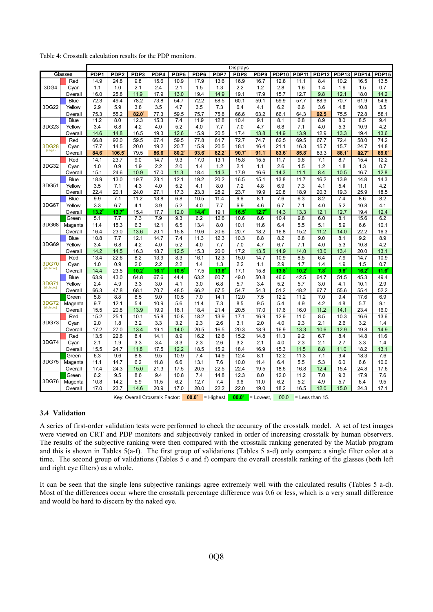| Table 4: Crosstalk calculation results for the PDP monitors. |  |
|--------------------------------------------------------------|--|
|--------------------------------------------------------------|--|

|                     |                 |                  |                  |                   |             |                       |                  |                   | Displays       |                  |              |                   |                  |                      |                   |                |
|---------------------|-----------------|------------------|------------------|-------------------|-------------|-----------------------|------------------|-------------------|----------------|------------------|--------------|-------------------|------------------|----------------------|-------------------|----------------|
|                     | Glasses         | PDP <sub>1</sub> | PDP <sub>2</sub> | PDP3              | PDP4        | PDP <sub>5</sub>      | PDP <sub>6</sub> | PDP7              | PDP8           | PDP <sub>9</sub> | <b>PDP10</b> | <b>PDP11</b>      | <b>PDP12</b>     | PDP <sub>13</sub>    | PDP14             | <b>PDP15</b>   |
|                     | Red             | 14.9             | 24.8             | 9.8               | 15.6        | 10.9                  | 17.9             | 13.6              | 16.9           | 16.7             | 12.8         | 11.1              | 8.4              | 10.2                 | 16.5              | 13.5           |
| 3DG4                | Cyan            | 1.1              | 1.0              | 2.1               | 2.4         | 2.1                   | 1.5              | 1.3               | 2.2            | 1.2              | 2.8          | 1.6               | 1.4              | 1.9                  | 1.5               | 0.7            |
|                     | Overall         | 16.0             | 25.8             | 11.9              | 17.9        | 13.0                  | 19.4             | 14.9              | 19.1           | 17.9             | 15.7         | 12.7              | 9.8              | 12.1                 | 18.0              | 14.2           |
|                     | <b>Blue</b>     | 72.3             | 49.4             | 78.2              | 73.8        | 54.7                  | 72.2             | 68.5              | 60.1           | 59.1             | 59.9         | $\overline{57.7}$ | 88.9             | 70.7                 | 61.9              | 54.6           |
| 3DG22               | Yellow          | 2.9              | 5.9              | 3.8               | 3.5         | 4.7                   | 3.5              | 7.3               | 6.4            | 4.1              | 6.2          | 6.6               | 3.6              | 4.8                  | 10.8              | 3.5            |
|                     | Overall         | 75.3             | 55.2             | 82.0              | 77.3        | 59.5                  | 75.7             | 75.8              | 66.6           | 63.2             | 66.1         | 64.3              | 92.5             | 75.5                 | 72.8              | 58.1           |
|                     | Blue            | 11.2             | 8.0              | 12.3              | 15.3        | 7.4                   | 11.9             | 12.8              | 10.4           | 9.1              | 8.1          | 6.8               | 8.9              | 8.0                  | 8.5               | 9.4            |
| 3DG23               | Yellow          | 3.4              | 6.8              | 4.2               | 4.0         | 5.2                   | 4.0              | 7.7               | 7.0            | 4.7              | 6.8          | 7.1               | 4.0              | 5.3                  | 10.9              | 4.2            |
|                     | Overall         | 14.6             | 14.8             | 16.5              | 19.3        | 12.6                  | 15.9             | 20.5              | 17.4           | 13.8             | 14.9         | 13.9              | 12.9             | 13.3                 | 19.4              | 13.6           |
|                     | Red             | 66.8             | 92.0             | 59.5              | 67.4        | 59.5                  | 77.8             | 61.7              | 72.7           | 74.7             | 62.5         | 69.5              | 67.7             | 72.4                 | 58.0              | 74.2           |
| 3DG28               | Cyan            | 17.7             | 14.5             | 20.0              | 19.2        | 20.7                  | 15.9             | 20.5              | 18.1           | 16.4             | 21.1         | 16.3              | 15.7             | 15.7                 | 24.7              | 14.8           |
| (inkjet)            | Overall         | 84.6             | 106.5            | 79.5              | 86.6        | 80.2                  | 93.6             | 82.2              | 90.7           | 91.1             | 83.6         | 85.8              | 83.3             | 88.1                 | 82.7              | 89.0           |
|                     | Red             | 14.1             | 23.7             | 9.0               | 14.7        | 9.3                   | 17.0             | 13.1              | 15.8           | 15.5             | 11.7         | 9.6               | 7.1              | 8.7                  | 15.4              | 12.2           |
| 3DG32               | Cyan            | 1.0              | 0.9              | 1.9               | 2.2         | 2.0                   | 1.4              | 1.2               | 2.1            | 1.1              | 2.6          | 1.5               | 1.2              | 1.8                  | 1.3               | 0.7            |
|                     | Overall         | 15.1             | 24.6             | 10.9              | 17.0        | 11.3                  | 18.4             | 14.3              | 17.9           | 16.6             | 14.3         | 11.1              | 8.4              | 10.5                 | 16.7              | 12.8           |
|                     | <b>Blue</b>     | 18.9             | 13.0             | 19.7              | 23.1        | 12.1                  | 19.2             | 20.2              | 16.5           | 15.1             | 13.8         | 11.7              | 16.2             | 13.9                 | 14.8              | 14.3           |
| 3DG51               | Yellow          | 3.5              | 7.1              | 4.3               | 4.0         | 5.2                   | 4.1              | 8.0               | 7.2            | 4.8              | 6.9          | 7.3               | 4.1              | 5.4                  | 11.1              | 4.2            |
|                     | Overall         | 22.4             | 20.1             | 24.0              | 27.1        | 17.3                  | 23.3             | 28.2              | 23.7           | 19.9             | 20.8         | 18.9              | 20.3             | 19.3                 | 25.9              | 18.5           |
|                     | <b>Blue</b>     | 9.9              | 7.1              | 11.2              | 13.8        | 6.8                   | 10.5             | 11.4              | 9.6            | 8.1              | 7.6          | 6.3               | 8.2              | 7.4                  | 8.6               | 8.2            |
| 3DG67               | Yellow          | 3.3              | 6.7              | 4.1               | 3.9         | 5.2                   | 4.0              | 7.7               | 6.9            | 4.6              | 6.7          | 7.1               | 4.0              | 5.2                  | 10.8              | 4.1            |
|                     | Overall         | 13.2'            | 13.7             | 15.4              | 17.7        | 12.0                  | 14.4'            | 19.1              | $16.5^{\circ}$ | 12.7             | 14.3         | 13.3              | 12.1             | 12.7                 | 19.4              | 12.4           |
|                     | Green           | 5.1              | 7.7              | 7.3               | 7.9         | 9.3                   | 6.2              | 12.6              | 10.6           | 6.6              | 10.4         | 9.8               | 6.0              | 8.1                  | 15.6              | 6.2            |
| 3DG68               | Magenta         | 11.4             | 15.3             | 6.3               | 12.1        | 6.5                   | 13.4             | 8.0               | 10.1           | 11.6             | 6.4          | 5.5               | 5.1              | 5.9                  | 6.6               | 10.1           |
|                     | Overall         | 16.4             | 23.0             | 13.6              | 20.1        | 15.8                  | 19.6             | 20.6              | 20.7           | 18.2             | 16.8         | 15.2              | 11.2             | 14.0                 | 22.2              | 16.3           |
|                     | <b>Blue</b>     | 10.8             | 7.7              | 12.1              | 14.7        | 7.4                   | 11.3             | 12.3              | 10.3           | 8.8              | 8.2          | 6.8               | 9.0              | 8.1                  | 9.2               | 8.9            |
| 3DG69               | Yellow          | 3.4              | 6.8              | 4.2               | 4.0         | 5.2                   | 4.0              | 7.7               | 7.0            | 4.7              | 6.7          | 7.1               | 4.0              | 5.3                  | 10.8              | 4.2            |
|                     | Overal          | 14.2             | 14.5             | 16.3              | 18.7        | 12.5                  | 15.3             | 20.0              | 17.2           | 13.5             | 14.9         | 14.0              | 13.0             | 13.4                 | 20.0              | 13.1           |
|                     | Red             | 13.4             | 22.6             | 8.2               | 13.9        | 8.3                   | 16.1             | 12.3              | 15.0           | 14.7             | 10.9         | 8.5               | 6.4              | 7.9                  | 14.7              | 10.9           |
| 3DG70<br>(dichroic) | Cyan<br>Overall | 1.0<br>14.4      | 0.9<br>23.5      | 2.0<br>$10.2^{*}$ | 2.2<br>16.1 | 2.2<br>$10.5^{\circ}$ | 1.4<br>17.5      | 1.3<br>$13.6^{*}$ | 2.2<br>17.1    | 1.1<br>15.8      | 2.9<br>13.8' | 1.7<br>$10.2*$    | 1.4<br>$7.8^{*}$ | 1.9<br>$9.8^{\circ}$ | 1.5<br>$16.2^{*}$ | 0.7<br>$11.6*$ |
|                     | <b>Blue</b>     | 63.9             | 43.0             | 64.8              | 67.6        | 44.4                  | 63.2             | 60.7              | 49.0           | 50.8             | 46.0         | 42.5              | 64.7             | 51.5                 | 45.3              | 49.4           |
| 3DG71               | Yellow          | 2.4              | 4.9              | 3.3               | 3.0         | 4.1                   | 3.0              | 6.8               | 5.7            | 3.4              | 5.2          | 5.7               | 3.0              | 4.1                  | 10.1              | 2.9            |
| (dichroic)          | Overall         | 66.3             | 47.8             | 68.1              | 70.7        | 48.5                  | 66.2             | 67.5              | 54.7           | 54.3             | 51.2         | 48.2              | 67.7             | 55.6                 | 55.4              | 52.2           |
|                     | Green           | 5.8              | 8.8              | 8.5               | 9.0         | 10.5                  | 7.0              | 14.1              | 12.0           | 7.5              | 12.2         | 11.2              | 7.0              | 9.4                  | 17.6              | 6.9            |
| 3DG72               | Magenta         | 9.7              | 12.1             | 5.4               | 10.9        | 5.6                   | 11.4             | 7.3               | 8.5            | 9.5              | 5.4          | 4.9               | 4.2              | 4.8                  | 5.7               | 9.1            |
| (dichroic)          | Overall         | 15.5             | 20.8             | 13.9              | 19.9        | 16.1                  | 18.4             | 21.4              | 20.5           | 17.0             | 17.6         | 16.0              | 11.2             | 14.1                 | 23.4              | 16.0           |
|                     | Red             | 15.2             | 25.1             | 10.1              | 15.8        | 10.8                  | 18.2             | 13.9              | 17.1           | 16.9             | 12.9         | 11.0              | 8.5              | 10.3                 | 16.6              | 13.6           |
| 3DG73               | Cyan            | 2.0              | 1.8              | 3.2               | 3.3         | 3.2                   | 2.3              | 2.6               | 3.1            | 2.0              | 4.0          | 2.3               | 2.1              | 2.6                  | 3.2               | 1.4            |
|                     | Overall         | 17.2             | 27.0             | 13.4              | 19.1        | 14.0                  | 20.5             | 16.5              | 20.3           | 18.9             | 16.9         | 13.3              | 10.6             | 12.9                 | 19.8              | 14.9           |
|                     | Red             | 13.5             | 22.8             | 8.4               | 14.1        | 8.9                   | 16.2             | 12.6              | 15.2           | 14.8             | 11.3         | 9.2               | 6.7              | 8.4                  | 14.8              | 11.6           |
| 3DG74               | Cyan            | 2.1              | 1.9              | 3.3               | 3.4         | 3.3                   | 2.3              | 2.6               | 3.2            | 2.1              | 4.0          | 2.3               | 2.1              | 2.7                  | 3.3               | 1.4            |
|                     | Overall         | 15.5             | 24.7             | 11.8              | 17.5        | 12.2                  | 18.5             | 15.2              | 18.4           | 16.9             | 15.3         | 11.5              | 8.8              | 11.0                 | 18.2              | 13.1           |
|                     | Green           | 6.3              | 9.6              | 8.8               | 9.5         | 10.9                  | 7.4              | 14.9              | 12.4           | 8.1              | 12.2         | 11.3              | 7.1              | 9.4                  | 18.3              | 7.6            |
| 3DG75               | Magenta         | 11.1             | 14.7             | 6.2               | 11.8        | 6.6                   | 13.1             | 7.6               | 10.0           | 11.4             | 6.4          | 5.5               | 5.3              | 6.0                  | 6.6               | 10.0           |
|                     | Overall         | 17.4             | 24.3             | 15.0              | 21.3        | 17.5                  | 20.5             | 22.5              | 22.4           | 19.5             | 18.6         | 16.8              | 12.4             | 15.4                 | 24.8              | 17.6           |
|                     | Green           | 6.2              | 9.5              | 8.6               | 9.4         | 10.8                  | 7.4              | 14.8              | 12.3           | 8.0              | 12.0         | 11.2              | 7.0              | 9.3                  | 17.9              | 7.6            |
| 3DG76               | Magenta         | 10.8             | 14.2             | 5.9               | 11.5        | 6.2                   | 12.7             | 7.4               | 9.6            | 11.0             | 6.2          | 5.2               | 4.9              | 5.7                  | 6.4               | 9.5            |
|                     | Overall         | 17.0             | 23.7             | 14.6              | 20.9        | 17.0                  | 20.0             | 22.2              | 22.0           | 19.0             | 18.2         | 16.5              | 12.0             | 15.0                 | 24.3              | 17.1           |
|                     |                 |                  |                  |                   |             |                       |                  |                   |                |                  |              |                   |                  |                      |                   |                |

Key: Overall Crosstalk Factor: **00.0<sup>\*</sup>** = Highest, **00.0<sup>\*</sup>** = Lowest, 00.0 = Less than 15.

## **3.4 Validation**

A series of first-order validation tests were performed to check the accuracy of the crosstalk model. A set of test images were viewed on CRT and PDP monitors and subjectively ranked in order of increasing crosstalk by human observers. The results of the subjective ranking were then compared with the crosstalk ranking generated by the Matlab program and this is shown in Tables 5(a-f). The first group of validations (Tables 5 a-d) only compare a single filter color at a time. The second group of validations (Tables 5 e and f) compare the overall crosstalk ranking of the glasses (both left and right eye filters) as a whole.

It can be seen that the single lens subjective rankings agree extremely well with the calculated results (Tables 5 a-d). Most of the differences occur where the crosstalk percentage difference was 0.6 or less, which is a very small difference and would be hard to discern by the naked eye.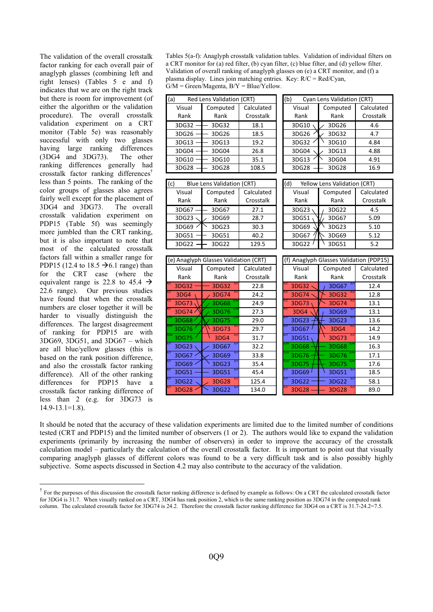The validation of the overall crosstalk factor ranking for each overall pair of anaglyph glasses (combining left and right lenses) (Tables 5 e and f) indicates that we are on the right track but there is room for improvement (of either the algorithm or the validation procedure). The overall crosstalk validation experiment on a CRT monitor (Table 5e) was reasonably successful with only two glasses having large ranking differences (3DG4 and 3DG73). The other ranking differences generally had crosstalk factor ranking differences† less than 5 points. The ranking of the color groups of glasses also agrees fairly well except for the placement of 3DG4 and 3DG73. The overall crosstalk validation experiment on PDP15 (Table 5f) was seemingly more jumbled than the CRT ranking, but it is also important to note that most of the calculated crosstalk factors fall within a smaller range for PDP15 (12.4 to 18.5  $\rightarrow$  6.1 range) than for the CRT case (where the equivalent range is 22.8 to 45.4  $\rightarrow$ 22.6 range). Our previous studies have found that when the crosstalk numbers are closer together it will be harder to visually distinguish the differences. The largest disagreement of ranking for PDP15 are with 3DG69, 3DG51, and 3DG67 – which are all blue/yellow glasses (this is based on the rank position difference, and also the crosstalk factor ranking difference). All of the other ranking differences for PDP15 have a crosstalk factor ranking difference of less than 2 (e.g. for 3DG73 is  $14.9 - 13.1 = 1.8$ .

1

Tables 5(a-f): Anaglyph crosstalk validation tables. Validation of individual filters on a CRT monitor for (a) red filter, (b) cyan filter, (c) blue filter, and (d) yellow filter. Validation of overall ranking of anaglyph glasses on (e) a CRT monitor, and (f) a plasma display. Lines join matching entries. Key:  $R/C = Red/Cyan$ ,  $G/M = Green/Magenta, B/Y = Blue/Y$ ellow.

| (a)            | Red Lens Validation (CRT)             |              | (b)            | Cyan Lens Validation (CRT)              |              |
|----------------|---------------------------------------|--------------|----------------|-----------------------------------------|--------------|
| Visual         | Computed                              | Calculated   | Visual         | Computed                                | Calculated   |
| Rank           | Rank                                  | Crosstalk    | Rank           | Rank                                    | Crosstalk    |
| 3DG32          | 3DG32                                 | 18.1         | 3DG10          | 3DG26                                   | 4.6          |
| 3DG26          | 3DG26                                 | 18.5         | 3DG26          | 3DG32                                   | 4.7          |
| 3DG13          | 3DG13                                 | 19.2         | 3DG32          | 3DG10                                   | 4.84         |
| 3DG04          | 3DG04                                 | 26.8         | 3DG04          | 3DG13                                   | 4.88         |
| 3DG10          | 3DG10                                 | 35.1         | 3DG13          | 3DG04                                   | 4.91         |
| 3DG28          | 3DG28                                 | 108.5        | 3DG28          | 3DG28                                   | 16.9         |
|                |                                       |              |                |                                         |              |
| (c)            | <b>Blue Lens Validation (CRT)</b>     |              | (d)            | Yellow Lens Validation (CRT)            |              |
| Visual         | Computed                              | Calculated   | Visual         | Computed                                | Calculated   |
| Rank           | Rank                                  | Crosstalk    | Rank           | Rank                                    | Crosstalk    |
| 3DG67          | 3DG67                                 | 27.1         | 3DG23          | 3DG22                                   | 4.5          |
| 3DG23          | 3DG69                                 | 28.7         | 3DG51          | 3DG67                                   | 5.09         |
| 3DG69          | 3DG23                                 | 30.3         | 3DG69          | 3DG23                                   | 5.10         |
| 3DG51          | 3DG51                                 | 40.2         | 3DG67          | 3DG69                                   | 5.12         |
| 3DG22          | 3DG22                                 | 129.5        | 3DG22          | 3DG51                                   | 5.2          |
|                |                                       |              |                |                                         |              |
| Visual         | (e) Anaglyph Glasses Validation (CRT) | Calculated   | Visual         | (f) Anaglyph Glasses Validation (PDP15) | Calculated   |
| Rank           | Computed<br>Rank                      | Crosstalk    | Rank           | Computed<br>Rank                        | Crosstalk    |
| ιуσ            |                                       |              |                | 3DG67                                   |              |
| 3DG32<br>t/C   | 3DG32                                 | 22.8<br>24.2 | 3DG32<br>3DG74 |                                         | 12.4<br>12.8 |
| 3DG4           | 3DG74<br>3DG68                        | 24.9         | 3DG73          | 3DG32<br>3DG74                          | 13.1         |
| 3DG73<br>3DG74 | 3DG76                                 | 27.3         | 3DG4           | 3DG69                                   | 13.1         |
| 3DG68          |                                       |              | 3DG23          |                                         |              |
| 3DG76          | 3DG75<br>3DG73                        | 29.0<br>29.7 | 3DG67          | 3DG23<br>3DG4                           | 13.6<br>14.2 |
| 3DG75          | 3DG4                                  | 31.7         |                | 3DG73                                   | 14.9         |
| 3/Y<br>3DG23   | 3DG67                                 | 32.2         | 3DG51<br>3DG68 | 3DG68                                   | 16.3         |
| B/Y            |                                       |              |                |                                         |              |
| 3DG67<br>B/Y   | 3DG69                                 | 33.8         | 3DG76          | 3DG76                                   | 17.1         |
| 3DG69<br>B/Y   | 3DG23                                 | 35.4         | 3DG75          | 3DG75                                   | 17.6         |
| 3DG51          | 3DG51                                 | 45.4         | 3DG69          | 3DG51                                   | 18.5         |
| 3DG22          | 3DG28                                 | 125.4        | 3DG22          | 3DG22                                   | 58.1         |
| 3DG28          | 3DG22                                 | 134.0        | 3DG28          | 3DG28                                   | 89.0         |
|                |                                       |              |                |                                         |              |

It should be noted that the accuracy of these validation experiments are limited due to the limited number of conditions tested (CRT and PDP15) and the limited number of observers (1 or 2). The authors would like to expand the validation experiments (primarily by increasing the number of observers) in order to improve the accuracy of the crosstalk calculation model – particularly the calculation of the overall crosstalk factor. It is important to point out that visually comparing anaglyph glasses of different colors was found to be a very difficult task and is also possibly highly subjective. Some aspects discussed in Section 4.2 may also contribute to the accuracy of the validation.

 $\dagger$  For the purposes of this discussion the crosstalk factor ranking difference is defined by example as follows: On a CRT the calculated crosstalk factor for 3DG4 is 31.7. When visually ranked on a CRT, 3DG4 has rank position 2, which is the same ranking position as 3DG74 in the computed rank column. The calculated crosstalk factor for 3DG74 is 24.2. Therefore the crosstalk factor ranking difference for 3DG4 on a CRT is 31.7-24.2=7.5.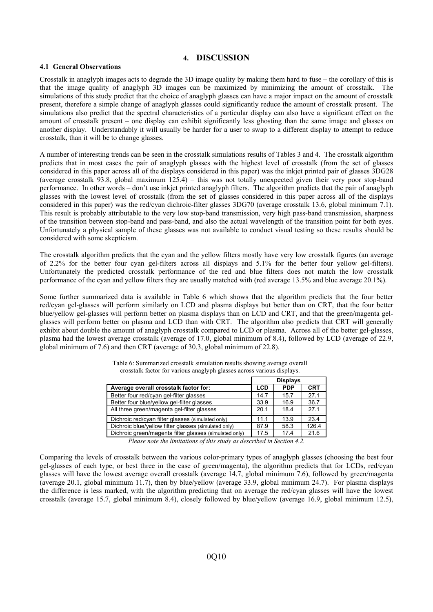## **4. DISCUSSION**

## **4.1 General Observations**

Crosstalk in anaglyph images acts to degrade the 3D image quality by making them hard to fuse – the corollary of this is that the image quality of anaglyph 3D images can be maximized by minimizing the amount of crosstalk. The simulations of this study predict that the choice of anaglyph glasses can have a major impact on the amount of crosstalk present, therefore a simple change of anaglyph glasses could significantly reduce the amount of crosstalk present. The simulations also predict that the spectral characteristics of a particular display can also have a significant effect on the amount of crosstalk present – one display can exhibit significantly less ghosting than the same image and glasses on another display. Understandably it will usually be harder for a user to swap to a different display to attempt to reduce crosstalk, than it will be to change glasses.

A number of interesting trends can be seen in the crosstalk simulations results of Tables 3 and 4. The crosstalk algorithm predicts that in most cases the pair of anaglyph glasses with the highest level of crosstalk (from the set of glasses considered in this paper across all of the displays considered in this paper) was the inkjet printed pair of glasses 3DG28 (average crosstalk 93.8, global maximum 125.4) – this was not totally unexpected given their very poor stop-band performance. In other words – don't use inkjet printed anaglyph filters. The algorithm predicts that the pair of anaglyph glasses with the lowest level of crosstalk (from the set of glasses considered in this paper across all of the displays considered in this paper) was the red/cyan dichroic-filter glasses 3DG70 (average crosstalk 13.6, global minimum 7.1). This result is probably attributable to the very low stop-band transmission, very high pass-band transmission, sharpness of the transition between stop-band and pass-band, and also the actual wavelength of the transition point for both eyes. Unfortunately a physical sample of these glasses was not available to conduct visual testing so these results should be considered with some skepticism.

The crosstalk algorithm predicts that the cyan and the yellow filters mostly have very low crosstalk figures (an average of 2.2% for the better four cyan gel-filters across all displays and 5.1% for the better four yellow gel-filters). Unfortunately the predicted crosstalk performance of the red and blue filters does not match the low crosstalk performance of the cyan and yellow filters they are usually matched with (red average 13.5% and blue average 20.1%).

Some further summarized data is available in Table 6 which shows that the algorithm predicts that the four better red/cyan gel-glasses will perform similarly on LCD and plasma displays but better than on CRT, that the four better blue/yellow gel-glasses will perform better on plasma displays than on LCD and CRT, and that the green/magenta gelglasses will perform better on plasma and LCD than with CRT. The algorithm also predicts that CRT will generally exhibit about double the amount of anaglyph crosstalk compared to LCD or plasma. Across all of the better gel-glasses, plasma had the lowest average crosstalk (average of 17.0, global minimum of 8.4), followed by LCD (average of 22.9, global minimum of 7.6) and then CRT (average of 30.3, global minimum of 22.8).

|      | <b>Displays</b> |            |
|------|-----------------|------------|
| LCD  | <b>PDP</b>      | <b>CRT</b> |
| 14.7 | 15.7            | 27.1       |
| 33.9 | 16.9            | 36.7       |
| 20.1 | 18.4            | 27.1       |
| 111  | 13.9            | 23.4       |
| 87.9 | 58.3            | 126.4      |
| 17.5 | 174             | 21.6       |
|      |                 |            |

Table 6: Summarized crosstalk simulation results showing average overall crosstalk factor for various anaglyph glasses across various displays.

*Please note the limitations of this study as described in Section 4.2.* 

Comparing the levels of crosstalk between the various color-primary types of anaglyph glasses (choosing the best four gel-glasses of each type, or best three in the case of green/magenta), the algorithm predicts that for LCDs, red/cyan glasses will have the lowest average overall crosstalk (average 14.7, global minimum 7.6), followed by green/magenta (average 20.1, global minimum 11.7), then by blue/yellow (average 33.9, global minimum 24.7). For plasma displays the difference is less marked, with the algorithm predicting that on average the red/cyan glasses will have the lowest crosstalk (average 15.7, global minimum 8.4), closely followed by blue/yellow (average 16.9, global minimum 12.5),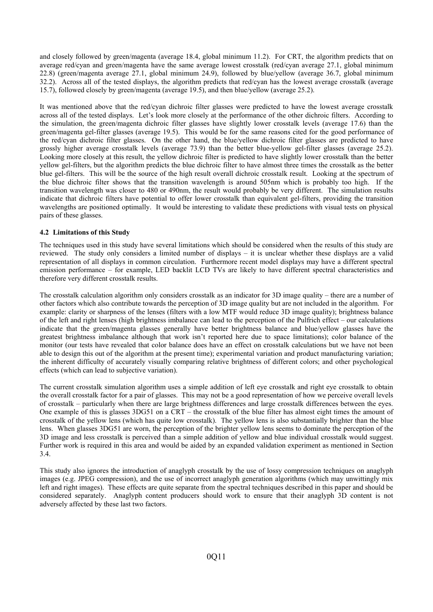and closely followed by green/magenta (average 18.4, global minimum 11.2). For CRT, the algorithm predicts that on average red/cyan and green/magenta have the same average lowest crosstalk (red/cyan average 27.1, global minimum 22.8) (green/magenta average 27.1, global minimum 24.9), followed by blue/yellow (average 36.7, global minimum 32.2). Across all of the tested displays, the algorithm predicts that red/cyan has the lowest average crosstalk (average 15.7), followed closely by green/magenta (average 19.5), and then blue/yellow (average 25.2).

It was mentioned above that the red/cyan dichroic filter glasses were predicted to have the lowest average crosstalk across all of the tested displays. Let's look more closely at the performance of the other dichroic filters. According to the simulation, the green/magenta dichroic filter glasses have slightly lower crosstalk levels (average 17.6) than the green/magenta gel-filter glasses (average 19.5). This would be for the same reasons cited for the good performance of the red/cyan dichroic filter glasses. On the other hand, the blue/yellow dichroic filter glasses are predicted to have grossly higher average crosstalk levels (average 73.9) than the better blue-yellow gel-filter glasses (average 25.2). Looking more closely at this result, the yellow dichroic filter is predicted to have slightly lower crosstalk than the better yellow gel-filters, but the algorithm predicts the blue dichroic filter to have almost three times the crosstalk as the better blue gel-filters. This will be the source of the high result overall dichroic crosstalk result. Looking at the spectrum of the blue dichroic filter shows that the transition wavelength is around 505nm which is probably too high. If the transition wavelength was closer to 480 or 490nm, the result would probably be very different. The simulation results indicate that dichroic filters have potential to offer lower crosstalk than equivalent gel-filters, providing the transition wavelengths are positioned optimally. It would be interesting to validate these predictions with visual tests on physical pairs of these glasses.

### **4.2 Limitations of this Study**

The techniques used in this study have several limitations which should be considered when the results of this study are reviewed. The study only considers a limited number of displays – it is unclear whether these displays are a valid representation of all displays in common circulation. Furthermore recent model displays may have a different spectral emission performance – for example, LED backlit LCD TVs are likely to have different spectral characteristics and therefore very different crosstalk results.

The crosstalk calculation algorithm only considers crosstalk as an indicator for 3D image quality – there are a number of other factors which also contribute towards the perception of 3D image quality but are not included in the algorithm. For example: clarity or sharpness of the lenses (filters with a low MTF would reduce 3D image quality); brightness balance of the left and right lenses (high brightness imbalance can lead to the perception of the Pulfrich effect – our calculations indicate that the green/magenta glasses generally have better brightness balance and blue/yellow glasses have the greatest brightness imbalance although that work isn't reported here due to space limitations); color balance of the monitor (our tests have revealed that color balance does have an effect on crosstalk calculations but we have not been able to design this out of the algorithm at the present time); experimental variation and product manufacturing variation; the inherent difficulty of accurately visually comparing relative brightness of different colors; and other psychological effects (which can lead to subjective variation).

The current crosstalk simulation algorithm uses a simple addition of left eye crosstalk and right eye crosstalk to obtain the overall crosstalk factor for a pair of glasses. This may not be a good representation of how we perceive overall levels of crosstalk – particularly when there are large brightness differences and large crosstalk differences between the eyes. One example of this is glasses 3DG51 on a CRT – the crosstalk of the blue filter has almost eight times the amount of crosstalk of the yellow lens (which has quite low crosstalk). The yellow lens is also substantially brighter than the blue lens. When glasses 3DG51 are worn, the perception of the brighter yellow lens seems to dominate the perception of the 3D image and less crosstalk is perceived than a simple addition of yellow and blue individual crosstalk would suggest. Further work is required in this area and would be aided by an expanded validation experiment as mentioned in Section 3.4.

This study also ignores the introduction of anaglyph crosstalk by the use of lossy compression techniques on anaglyph images (e.g. JPEG compression), and the use of incorrect anaglyph generation algorithms (which may unwittingly mix left and right images). These effects are quite separate from the spectral techniques described in this paper and should be considered separately. Anaglyph content producers should work to ensure that their anaglyph 3D content is not adversely affected by these last two factors.